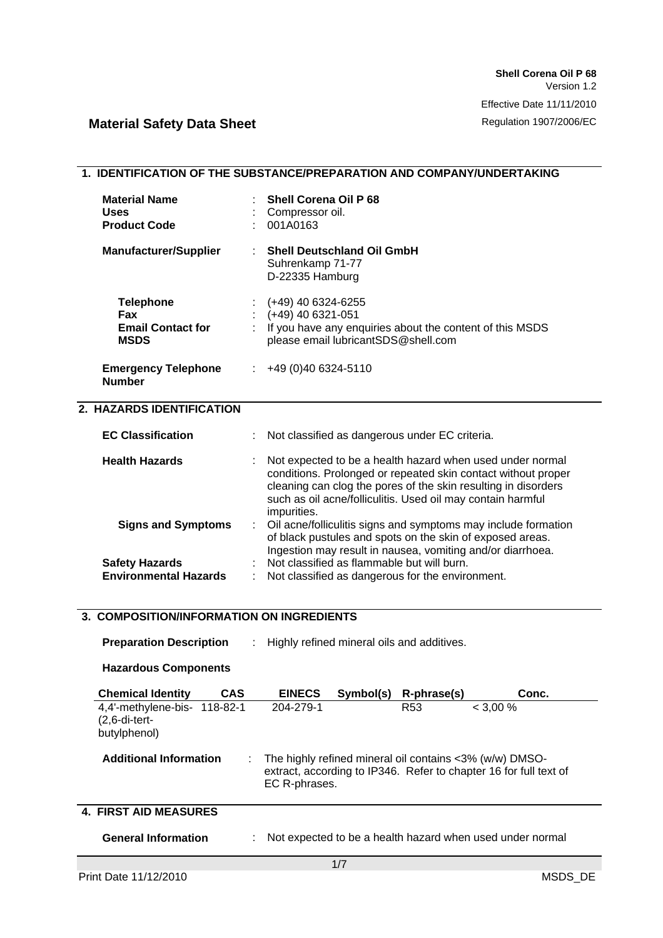| 1. IDENTIFICATION OF THE SUBSTANCE/PREPARATION AND COMPANY/UNDERTAKING |                                                                                                                                                                                                                                                                            |  |
|------------------------------------------------------------------------|----------------------------------------------------------------------------------------------------------------------------------------------------------------------------------------------------------------------------------------------------------------------------|--|
| <b>Material Name</b><br><b>Uses</b><br><b>Product Code</b>             | <b>Shell Corena Oil P 68</b><br>Compressor oil.<br>001A0163                                                                                                                                                                                                                |  |
| <b>Manufacturer/Supplier</b>                                           | <b>Shell Deutschland Oil GmbH</b><br>Suhrenkamp 71-77<br>D-22335 Hamburg                                                                                                                                                                                                   |  |
| <b>Telephone</b><br>Fax<br><b>Email Contact for</b><br><b>MSDS</b>     | $(+49)$ 40 6324-6255<br>(+49) 40 6321-051<br>If you have any enquiries about the content of this MSDS<br>please email lubricantSDS@shell.com                                                                                                                               |  |
| <b>Emergency Telephone</b><br><b>Number</b>                            | +49 (0)40 6324-5110                                                                                                                                                                                                                                                        |  |
| 2. HAZARDS IDENTIFICATION                                              |                                                                                                                                                                                                                                                                            |  |
| <b>EC Classification</b>                                               | Not classified as dangerous under EC criteria.                                                                                                                                                                                                                             |  |
| <b>Health Hazards</b>                                                  | Not expected to be a health hazard when used under normal<br>conditions. Prolonged or repeated skin contact without proper<br>cleaning can clog the pores of the skin resulting in disorders<br>such as oil acne/folliculitis. Used oil may contain harmful<br>impurities. |  |
| <b>Signs and Symptoms</b>                                              | Oil acne/folliculitis signs and symptoms may include formation<br>of black pustules and spots on the skin of exposed areas.<br>Ingestion may result in nausea, vomiting and/or diarrhoea.                                                                                  |  |
| <b>Safety Hazards</b><br><b>Environmental Hazards</b>                  | Not classified as flammable but will burn.<br>Not classified as dangerous for the environment.                                                                                                                                                                             |  |
| 3. COMPOSITION/INFORMATION ON INGREDIENTS                              |                                                                                                                                                                                                                                                                            |  |
|                                                                        |                                                                                                                                                                                                                                                                            |  |
| <b>Preparation Description</b>                                         | Highly refined mineral oils and additives.                                                                                                                                                                                                                                 |  |
| <b>Hazardous Components</b>                                            |                                                                                                                                                                                                                                                                            |  |
| <b>Chemical Identity</b><br><b>CAS</b>                                 | Symbol(s)<br>R-phrase(s)<br><b>EINECS</b><br>Conc.                                                                                                                                                                                                                         |  |
| 4,4'-methylene-bis- 118-82-1<br>$(2, 6$ -di-tert-<br>butylphenol)      | 204-279-1<br>R <sub>53</sub><br>$< 3,00\%$                                                                                                                                                                                                                                 |  |
| <b>Additional Information</b>                                          | The highly refined mineral oil contains <3% (w/w) DMSO-<br>extract, according to IP346. Refer to chapter 16 for full text of<br>EC R-phrases.                                                                                                                              |  |

### **4. FIRST AID MEASURES**

| <b>General Information</b> |  | Not expected to be a health hazard when used under normal |
|----------------------------|--|-----------------------------------------------------------|
|----------------------------|--|-----------------------------------------------------------|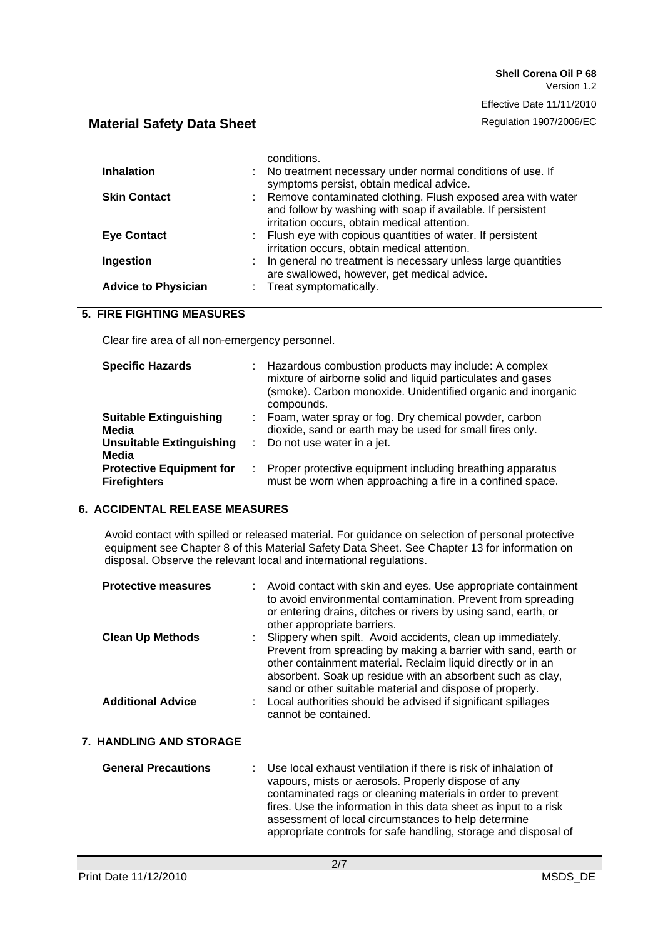Effective Date 11/11/2010

# **Material Safety Data Sheet Regulation 1907/2006/EC**

|                            |    | conditions.                                                                                                                                                                  |
|----------------------------|----|------------------------------------------------------------------------------------------------------------------------------------------------------------------------------|
| <b>Inhalation</b>          |    | : No treatment necessary under normal conditions of use. If<br>symptoms persist, obtain medical advice.                                                                      |
| <b>Skin Contact</b>        |    | : Remove contaminated clothing. Flush exposed area with water<br>and follow by washing with soap if available. If persistent<br>irritation occurs, obtain medical attention. |
| <b>Eye Contact</b>         |    | : Flush eye with copious quantities of water. If persistent<br>irritation occurs, obtain medical attention.                                                                  |
| Ingestion                  | t. | In general no treatment is necessary unless large quantities<br>are swallowed, however, get medical advice.                                                                  |
| <b>Advice to Physician</b> |    | : Treat symptomatically.                                                                                                                                                     |

### **5. FIRE FIGHTING MEASURES**

Clear fire area of all non-emergency personnel.

| <b>Specific Hazards</b>                                |    | Hazardous combustion products may include: A complex<br>mixture of airborne solid and liquid particulates and gases<br>(smoke). Carbon monoxide. Unidentified organic and inorganic<br>compounds. |
|--------------------------------------------------------|----|---------------------------------------------------------------------------------------------------------------------------------------------------------------------------------------------------|
| <b>Suitable Extinguishing</b><br>Media                 | ÷. | Foam, water spray or fog. Dry chemical powder, carbon<br>dioxide, sand or earth may be used for small fires only.                                                                                 |
| <b>Unsuitable Extinguishing</b><br>Media               |    | Do not use water in a jet.                                                                                                                                                                        |
| <b>Protective Equipment for</b><br><b>Firefighters</b> | ÷  | Proper protective equipment including breathing apparatus<br>must be worn when approaching a fire in a confined space.                                                                            |

### **6. ACCIDENTAL RELEASE MEASURES**

Avoid contact with spilled or released material. For guidance on selection of personal protective equipment see Chapter 8 of this Material Safety Data Sheet. See Chapter 13 for information on disposal. Observe the relevant local and international regulations.

| <b>Protective measures</b><br><b>Clean Up Methods</b><br><b>Additional Advice</b> | : Avoid contact with skin and eyes. Use appropriate containment<br>to avoid environmental contamination. Prevent from spreading<br>or entering drains, ditches or rivers by using sand, earth, or<br>other appropriate barriers.<br>: Slippery when spilt. Avoid accidents, clean up immediately.<br>Prevent from spreading by making a barrier with sand, earth or<br>other containment material. Reclaim liquid directly or in an<br>absorbent. Soak up residue with an absorbent such as clay,<br>sand or other suitable material and dispose of properly.<br>: Local authorities should be advised if significant spillages<br>cannot be contained. |
|-----------------------------------------------------------------------------------|---------------------------------------------------------------------------------------------------------------------------------------------------------------------------------------------------------------------------------------------------------------------------------------------------------------------------------------------------------------------------------------------------------------------------------------------------------------------------------------------------------------------------------------------------------------------------------------------------------------------------------------------------------|
| 7. HANDLING AND STORAGE                                                           |                                                                                                                                                                                                                                                                                                                                                                                                                                                                                                                                                                                                                                                         |
| <b>General Precautions</b>                                                        | Use local exhaust ventilation if there is risk of inhalation of<br>vapours, mists or aerosols. Properly dispose of any<br>contaminated rags or cleaning materials in order to prevent<br>fires. Use the information in this data sheet as input to a risk<br>assessment of local circumstances to help determine<br>appropriate controls for safe handling, storage and disposal of                                                                                                                                                                                                                                                                     |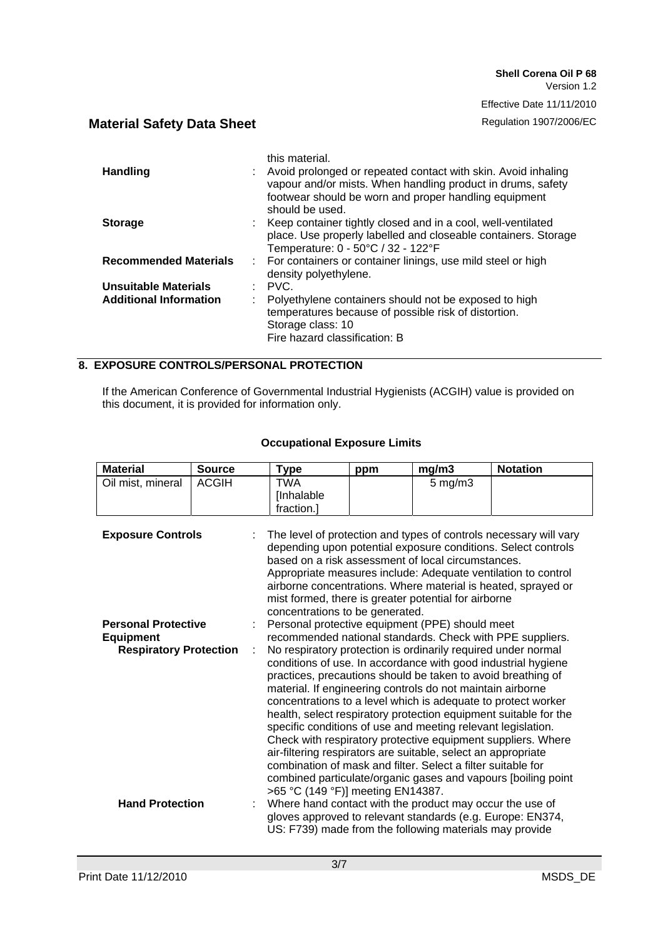Effective Date 11/11/2010

# **Material Safety Data Sheet Regulation 1907/2006/EC**

| this material.<br>Avoid prolonged or repeated contact with skin. Avoid inhaling<br>vapour and/or mists. When handling product in drums, safety<br>footwear should be worn and proper handling equipment<br>should be used. |
|----------------------------------------------------------------------------------------------------------------------------------------------------------------------------------------------------------------------------|
| : Keep container tightly closed and in a cool, well-ventilated<br>place. Use properly labelled and closeable containers. Storage<br>Temperature: 0 - 50°C / 32 - 122°F                                                     |
| : For containers or container linings, use mild steel or high<br>density polyethylene.                                                                                                                                     |
| $\therefore$ PVC.                                                                                                                                                                                                          |
| Polyethylene containers should not be exposed to high<br>temperatures because of possible risk of distortion.<br>Storage class: 10<br>Fire hazard classification: B                                                        |
|                                                                                                                                                                                                                            |

### **8. EXPOSURE CONTROLS/PERSONAL PROTECTION**

If the American Conference of Governmental Industrial Hygienists (ACGIH) value is provided on this document, it is provided for information only.

| <b>Material</b>                                                                                             | <b>Source</b> | Type                                                                                                                                                                                                                                                                                                                                                                                                                                                                                                                                                                                                                                                                                                                                                                                                                                                                                                                                                                                                                                                                                                       | ppm | mg/m3        | <b>Notation</b>                                                                                                                                                                                     |
|-------------------------------------------------------------------------------------------------------------|---------------|------------------------------------------------------------------------------------------------------------------------------------------------------------------------------------------------------------------------------------------------------------------------------------------------------------------------------------------------------------------------------------------------------------------------------------------------------------------------------------------------------------------------------------------------------------------------------------------------------------------------------------------------------------------------------------------------------------------------------------------------------------------------------------------------------------------------------------------------------------------------------------------------------------------------------------------------------------------------------------------------------------------------------------------------------------------------------------------------------------|-----|--------------|-----------------------------------------------------------------------------------------------------------------------------------------------------------------------------------------------------|
| Oil mist, mineral                                                                                           | <b>ACGIH</b>  | <b>TWA</b>                                                                                                                                                                                                                                                                                                                                                                                                                                                                                                                                                                                                                                                                                                                                                                                                                                                                                                                                                                                                                                                                                                 |     | $5$ mg/m $3$ |                                                                                                                                                                                                     |
|                                                                                                             |               | [Inhalable                                                                                                                                                                                                                                                                                                                                                                                                                                                                                                                                                                                                                                                                                                                                                                                                                                                                                                                                                                                                                                                                                                 |     |              |                                                                                                                                                                                                     |
|                                                                                                             |               | fraction.]                                                                                                                                                                                                                                                                                                                                                                                                                                                                                                                                                                                                                                                                                                                                                                                                                                                                                                                                                                                                                                                                                                 |     |              |                                                                                                                                                                                                     |
| <b>Exposure Controls</b><br><b>Personal Protective</b><br><b>Equipment</b><br><b>Respiratory Protection</b> | ÷             | based on a risk assessment of local circumstances.<br>Appropriate measures include: Adequate ventilation to control<br>airborne concentrations. Where material is heated, sprayed or<br>mist formed, there is greater potential for airborne<br>concentrations to be generated.<br>Personal protective equipment (PPE) should meet<br>recommended national standards. Check with PPE suppliers.<br>No respiratory protection is ordinarily required under normal<br>conditions of use. In accordance with good industrial hygiene<br>practices, precautions should be taken to avoid breathing of<br>material. If engineering controls do not maintain airborne<br>concentrations to a level which is adequate to protect worker<br>health, select respiratory protection equipment suitable for the<br>specific conditions of use and meeting relevant legislation.<br>Check with respiratory protective equipment suppliers. Where<br>air-filtering respirators are suitable, select an appropriate<br>combination of mask and filter. Select a filter suitable for<br>>65 °C (149 °F)] meeting EN14387. |     |              | The level of protection and types of controls necessary will vary<br>depending upon potential exposure conditions. Select controls<br>combined particulate/organic gases and vapours [boiling point |
| <b>Hand Protection</b>                                                                                      |               | Where hand contact with the product may occur the use of<br>gloves approved to relevant standards (e.g. Europe: EN374,<br>US: F739) made from the following materials may provide                                                                                                                                                                                                                                                                                                                                                                                                                                                                                                                                                                                                                                                                                                                                                                                                                                                                                                                          |     |              |                                                                                                                                                                                                     |

#### **Occupational Exposure Limits**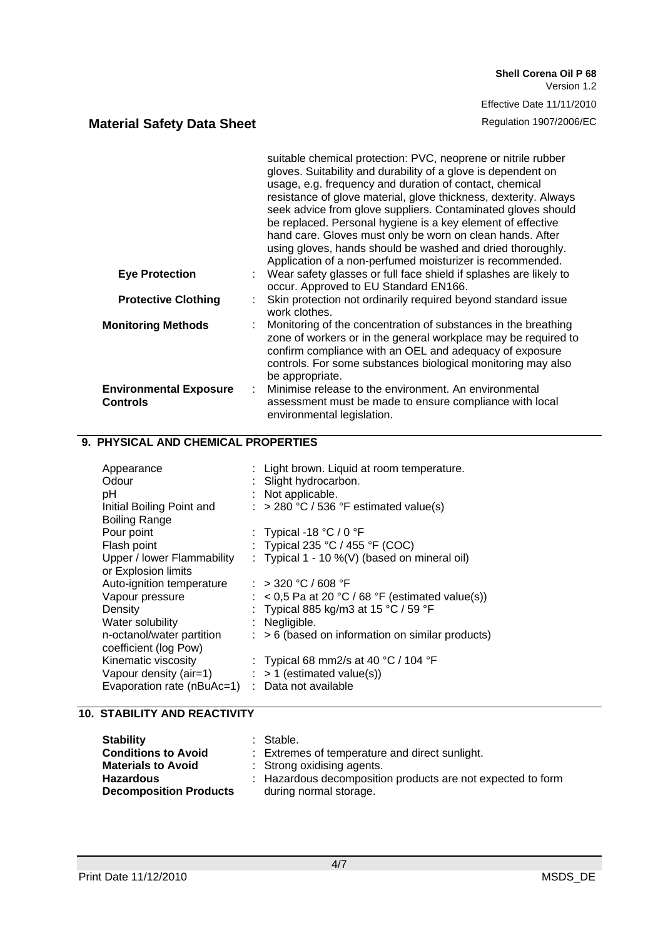|                                                   | suitable chemical protection: PVC, neoprene or nitrile rubber<br>gloves. Suitability and durability of a glove is dependent on<br>usage, e.g. frequency and duration of contact, chemical<br>resistance of glove material, glove thickness, dexterity. Always<br>seek advice from glove suppliers. Contaminated gloves should<br>be replaced. Personal hygiene is a key element of effective<br>hand care. Gloves must only be worn on clean hands. After<br>using gloves, hands should be washed and dried thoroughly.<br>Application of a non-perfumed moisturizer is recommended. |
|---------------------------------------------------|--------------------------------------------------------------------------------------------------------------------------------------------------------------------------------------------------------------------------------------------------------------------------------------------------------------------------------------------------------------------------------------------------------------------------------------------------------------------------------------------------------------------------------------------------------------------------------------|
| <b>Eye Protection</b>                             | Wear safety glasses or full face shield if splashes are likely to<br>occur. Approved to EU Standard EN166.                                                                                                                                                                                                                                                                                                                                                                                                                                                                           |
| <b>Protective Clothing</b>                        | Skin protection not ordinarily required beyond standard issue<br>work clothes.                                                                                                                                                                                                                                                                                                                                                                                                                                                                                                       |
| <b>Monitoring Methods</b>                         | Monitoring of the concentration of substances in the breathing<br>zone of workers or in the general workplace may be required to<br>confirm compliance with an OEL and adequacy of exposure<br>controls. For some substances biological monitoring may also<br>be appropriate.                                                                                                                                                                                                                                                                                                       |
| <b>Environmental Exposure</b><br><b>Controls</b>  | Minimise release to the environment. An environmental<br>assessment must be made to ensure compliance with local<br>environmental legislation.                                                                                                                                                                                                                                                                                                                                                                                                                                       |
| 9. PHYSICAL AND CHEMICAL PROPERTIES               |                                                                                                                                                                                                                                                                                                                                                                                                                                                                                                                                                                                      |
| Appearance<br>Odour                               | Light brown. Liquid at room temperature.<br>Slight hydrocarbon.                                                                                                                                                                                                                                                                                                                                                                                                                                                                                                                      |
| рH                                                | Not applicable.                                                                                                                                                                                                                                                                                                                                                                                                                                                                                                                                                                      |
| Initial Boiling Point and<br><b>Boiling Range</b> | $>$ 280 °C / 536 °F estimated value(s)                                                                                                                                                                                                                                                                                                                                                                                                                                                                                                                                               |
| Pour point                                        | Typical -18 $°C / 0$ °F                                                                                                                                                                                                                                                                                                                                                                                                                                                                                                                                                              |

| Flash point                | : Typical 235 °C / 455 °F (COC)                             |
|----------------------------|-------------------------------------------------------------|
| Upper / lower Flammability | : Typical 1 - 10 %(V) (based on mineral oil)                |
| or Explosion limits        |                                                             |
| Auto-ignition temperature  | : $>$ 320 °C / 608 °F                                       |
| Vapour pressure            | : $<$ 0,5 Pa at 20 °C / 68 °F (estimated value(s))          |
| Density                    | : Typical 885 kg/m3 at 15 °C / 59 °F                        |
| Water solubility           | : Negligible.                                               |
| n-octanol/water partition  | $\therefore$ > 6 (based on information on similar products) |
| coefficient (log Pow)      |                                                             |
| Kinematic viscosity        | : Typical 68 mm2/s at 40 $^{\circ}$ C / 104 $^{\circ}$ F    |
| Vapour density (air=1)     | $:$ > 1 (estimated value(s))                                |
| Evaporation rate (nBuAc=1) | : Data not available                                        |
|                            |                                                             |

### **10. STABILITY AND REACTIVITY**

| <b>Stability</b>              | : Stable.                                                   |
|-------------------------------|-------------------------------------------------------------|
| <b>Conditions to Avoid</b>    | : Extremes of temperature and direct sunlight.              |
| <b>Materials to Avoid</b>     | : Strong oxidising agents.                                  |
| <b>Hazardous</b>              | : Hazardous decomposition products are not expected to form |
| <b>Decomposition Products</b> | during normal storage.                                      |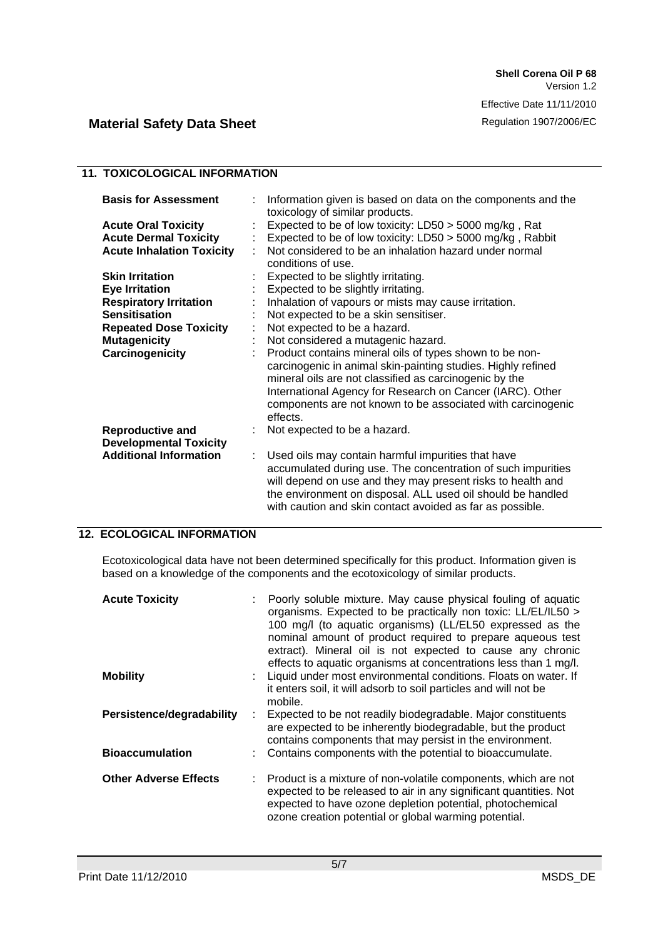### **11. TOXICOLOGICAL INFORMATION**

| <b>Basis for Assessment</b>                              | ÷  | Information given is based on data on the components and the<br>toxicology of similar products.                                                                                                                                                                                                                           |
|----------------------------------------------------------|----|---------------------------------------------------------------------------------------------------------------------------------------------------------------------------------------------------------------------------------------------------------------------------------------------------------------------------|
| <b>Acute Oral Toxicity</b>                               |    | Expected to be of low toxicity: LD50 > 5000 mg/kg, Rat                                                                                                                                                                                                                                                                    |
| <b>Acute Dermal Toxicity</b>                             | ÷  | Expected to be of low toxicity: LD50 > 5000 mg/kg, Rabbit                                                                                                                                                                                                                                                                 |
| <b>Acute Inhalation Toxicity</b>                         |    | Not considered to be an inhalation hazard under normal<br>conditions of use.                                                                                                                                                                                                                                              |
| <b>Skin Irritation</b>                                   |    | Expected to be slightly irritating.                                                                                                                                                                                                                                                                                       |
| <b>Eye Irritation</b>                                    |    | Expected to be slightly irritating.                                                                                                                                                                                                                                                                                       |
| <b>Respiratory Irritation</b>                            |    | Inhalation of vapours or mists may cause irritation.                                                                                                                                                                                                                                                                      |
| <b>Sensitisation</b>                                     |    | Not expected to be a skin sensitiser.                                                                                                                                                                                                                                                                                     |
| <b>Repeated Dose Toxicity</b>                            | t  | Not expected to be a hazard.                                                                                                                                                                                                                                                                                              |
| <b>Mutagenicity</b>                                      |    | Not considered a mutagenic hazard.                                                                                                                                                                                                                                                                                        |
| Carcinogenicity                                          | ÷  | Product contains mineral oils of types shown to be non-<br>carcinogenic in animal skin-painting studies. Highly refined<br>mineral oils are not classified as carcinogenic by the<br>International Agency for Research on Cancer (IARC). Other<br>components are not known to be associated with carcinogenic<br>effects. |
| <b>Reproductive and</b><br><b>Developmental Toxicity</b> |    | Not expected to be a hazard.                                                                                                                                                                                                                                                                                              |
| <b>Additional Information</b>                            | ÷. | Used oils may contain harmful impurities that have<br>accumulated during use. The concentration of such impurities<br>will depend on use and they may present risks to health and<br>the environment on disposal. ALL used oil should be handled<br>with caution and skin contact avoided as far as possible.             |

## **12. ECOLOGICAL INFORMATION**

Ecotoxicological data have not been determined specifically for this product. Information given is based on a knowledge of the components and the ecotoxicology of similar products.

| <b>Acute Toxicity</b>        | Poorly soluble mixture. May cause physical fouling of aquatic<br>organisms. Expected to be practically non toxic: LL/EL/IL50 ><br>100 mg/l (to aquatic organisms) (LL/EL50 expressed as the<br>nominal amount of product required to prepare aqueous test<br>extract). Mineral oil is not expected to cause any chronic<br>effects to aquatic organisms at concentrations less than 1 mg/l. |
|------------------------------|---------------------------------------------------------------------------------------------------------------------------------------------------------------------------------------------------------------------------------------------------------------------------------------------------------------------------------------------------------------------------------------------|
| <b>Mobility</b>              | Liquid under most environmental conditions. Floats on water. If<br>it enters soil, it will adsorb to soil particles and will not be<br>mobile.                                                                                                                                                                                                                                              |
| Persistence/degradability    | Expected to be not readily biodegradable. Major constituents<br>are expected to be inherently biodegradable, but the product<br>contains components that may persist in the environment.                                                                                                                                                                                                    |
| <b>Bioaccumulation</b>       | Contains components with the potential to bioaccumulate.                                                                                                                                                                                                                                                                                                                                    |
| <b>Other Adverse Effects</b> | : Product is a mixture of non-volatile components, which are not<br>expected to be released to air in any significant quantities. Not<br>expected to have ozone depletion potential, photochemical<br>ozone creation potential or global warming potential.                                                                                                                                 |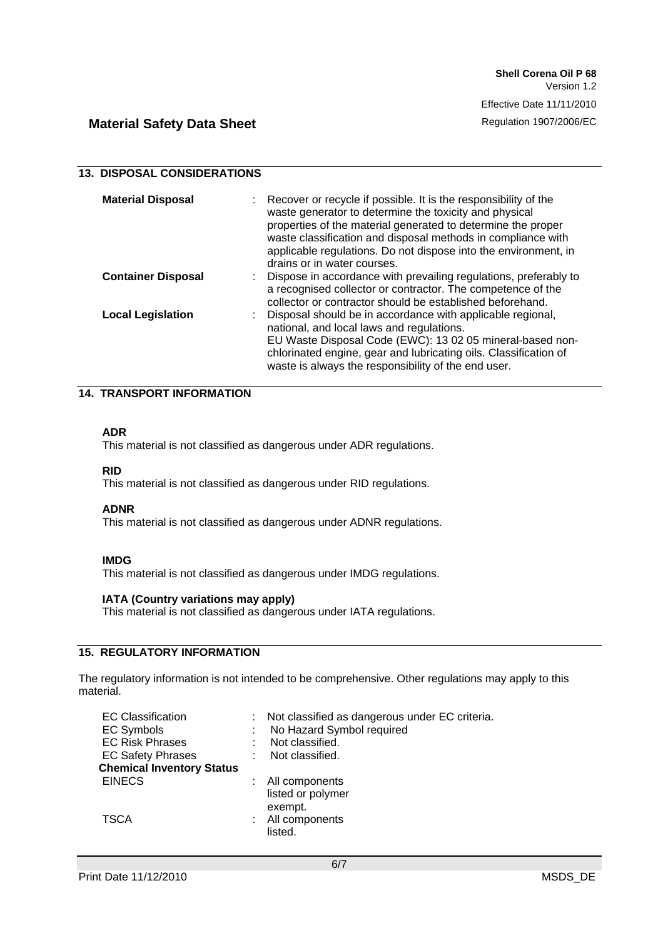| <b>13. DISPOSAL CONSIDERATIONS</b> |                                                                                                                                                                                                                                                                                                                                                               |  |
|------------------------------------|---------------------------------------------------------------------------------------------------------------------------------------------------------------------------------------------------------------------------------------------------------------------------------------------------------------------------------------------------------------|--|
| <b>Material Disposal</b>           | : Recover or recycle if possible. It is the responsibility of the<br>waste generator to determine the toxicity and physical<br>properties of the material generated to determine the proper<br>waste classification and disposal methods in compliance with<br>applicable regulations. Do not dispose into the environment, in<br>drains or in water courses. |  |
| <b>Container Disposal</b>          | : Dispose in accordance with prevailing regulations, preferably to<br>a recognised collector or contractor. The competence of the<br>collector or contractor should be established beforehand.                                                                                                                                                                |  |
| <b>Local Legislation</b>           | : Disposal should be in accordance with applicable regional,<br>national, and local laws and regulations.<br>EU Waste Disposal Code (EWC): 13 02 05 mineral-based non-<br>chlorinated engine, gear and lubricating oils. Classification of<br>waste is always the responsibility of the end user.                                                             |  |

### **14. TRANSPORT INFORMATION**

### **ADR**

This material is not classified as dangerous under ADR regulations.

#### **RID**

This material is not classified as dangerous under RID regulations.

#### **ADNR**

This material is not classified as dangerous under ADNR regulations.

#### **IMDG**

This material is not classified as dangerous under IMDG regulations.

#### **IATA (Country variations may apply)**

This material is not classified as dangerous under IATA regulations.

## **15. REGULATORY INFORMATION**

The regulatory information is not intended to be comprehensive. Other regulations may apply to this material.

| <b>EC Classification</b>         | Not classified as dangerous under EC criteria. |
|----------------------------------|------------------------------------------------|
| <b>EC Symbols</b>                | No Hazard Symbol required                      |
| <b>EC Risk Phrases</b>           | Not classified.                                |
| <b>EC Safety Phrases</b>         | Not classified.                                |
| <b>Chemical Inventory Status</b> |                                                |
| <b>EINECS</b>                    | All components                                 |
|                                  | listed or polymer                              |
|                                  | exempt.                                        |
| <b>TSCA</b>                      | All components                                 |
|                                  | listed.                                        |
|                                  |                                                |